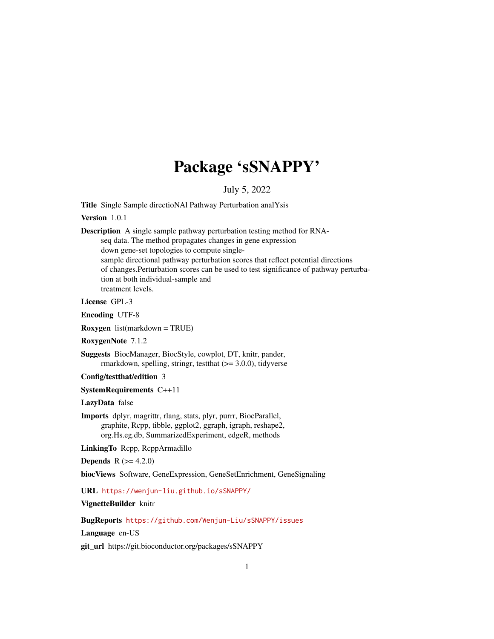## Package 'sSNAPPY'

### July 5, 2022

<span id="page-0-0"></span>Title Single Sample directioNAl Pathway Perturbation analYsis

Version 1.0.1

Description A single sample pathway perturbation testing method for RNA-

seq data. The method propagates changes in gene expression down gene-set topologies to compute singlesample directional pathway perturbation scores that reflect potential directions of changes.Perturbation scores can be used to test significance of pathway perturbation at both individual-sample and treatment levels.

License GPL-3

Encoding UTF-8

Roxygen list(markdown = TRUE)

RoxygenNote 7.1.2

Suggests BiocManager, BiocStyle, cowplot, DT, knitr, pander, rmarkdown, spelling, stringr, test that  $(>= 3.0.0)$ , tidyverse

Config/testthat/edition 3

SystemRequirements C++11

LazyData false

Imports dplyr, magrittr, rlang, stats, plyr, purrr, BiocParallel, graphite, Rcpp, tibble, ggplot2, ggraph, igraph, reshape2, org.Hs.eg.db, SummarizedExperiment, edgeR, methods

LinkingTo Rcpp, RcppArmadillo

**Depends** R  $(>= 4.2.0)$ 

biocViews Software, GeneExpression, GeneSetEnrichment, GeneSignaling

URL <https://wenjun-liu.github.io/sSNAPPY/>

VignetteBuilder knitr

BugReports <https://github.com/Wenjun-Liu/sSNAPPY/issues>

Language en-US

git\_url https://git.bioconductor.org/packages/sSNAPPY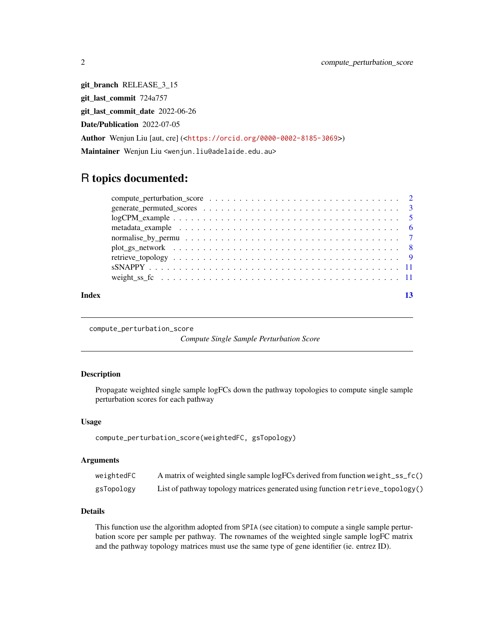git\_branch RELEASE\_3\_15 git\_last\_commit 724a757 git\_last\_commit\_date 2022-06-26 Date/Publication 2022-07-05 Author Wenjun Liu [aut, cre] (<<https://orcid.org/0000-0002-8185-3069>>) Maintainer Wenjun Liu <wenjun.liu@adelaide.edu.au>

## R topics documented:

| Index |  |
|-------|--|
|       |  |
|       |  |
|       |  |
|       |  |
|       |  |
|       |  |
|       |  |
|       |  |
|       |  |

compute\_perturbation\_score

*Compute Single Sample Perturbation Score*

#### Description

Propagate weighted single sample logFCs down the pathway topologies to compute single sample perturbation scores for each pathway

#### Usage

compute\_perturbation\_score(weightedFC, gsTopology)

#### Arguments

| weightedFC | A matrix of weighted single sample logFCs derived from function weight_ss_fc() |
|------------|--------------------------------------------------------------------------------|
| gsTopology | List of pathway topology matrices generated using function retrieve_topology() |

#### Details

This function use the algorithm adopted from SPIA (see citation) to compute a single sample perturbation score per sample per pathway. The rownames of the weighted single sample logFC matrix and the pathway topology matrices must use the same type of gene identifier (ie. entrez ID).

<span id="page-1-0"></span>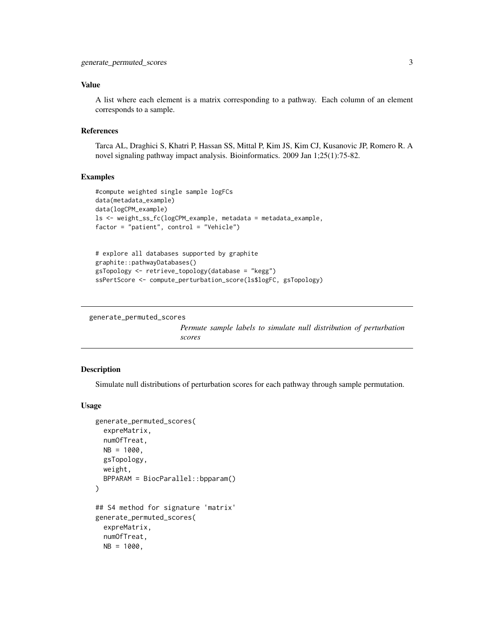#### <span id="page-2-0"></span>Value

A list where each element is a matrix corresponding to a pathway. Each column of an element corresponds to a sample.

#### References

Tarca AL, Draghici S, Khatri P, Hassan SS, Mittal P, Kim JS, Kim CJ, Kusanovic JP, Romero R. A novel signaling pathway impact analysis. Bioinformatics. 2009 Jan 1;25(1):75-82.

#### Examples

```
#compute weighted single sample logFCs
data(metadata_example)
data(logCPM_example)
ls <- weight_ss_fc(logCPM_example, metadata = metadata_example,
factor = "patient", control = "Vehicle")
# explore all databases supported by graphite
graphite::pathwayDatabases()
gsTopology <- retrieve_topology(database = "kegg")
```
ssPertScore <- compute\_perturbation\_score(ls\$logFC, gsTopology)

generate\_permuted\_scores

*Permute sample labels to simulate null distribution of perturbation scores*

#### Description

Simulate null distributions of perturbation scores for each pathway through sample permutation.

#### Usage

```
generate_permuted_scores(
  expreMatrix,
 numOfTreat,
 NB = 1000,gsTopology,
 weight,
 BPPARAM = BiocParallel::bpparam()
\lambda## S4 method for signature 'matrix'
generate_permuted_scores(
  expreMatrix,
  numOfTreat,
 NB = 1000,
```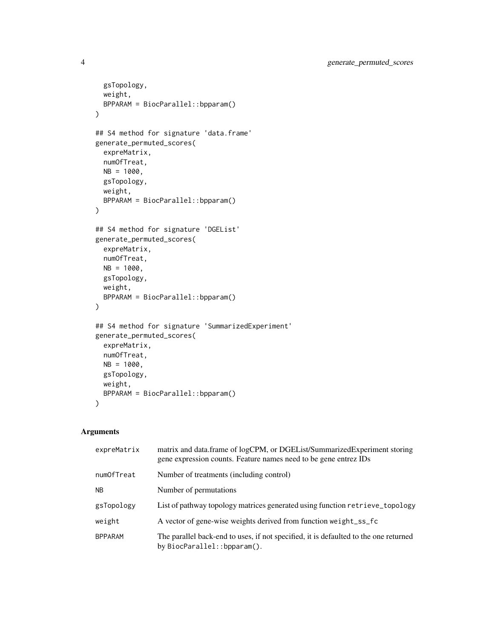```
gsTopology,
 weight,
 BPPARAM = BiocParallel::bpparam()
\mathcal{L}## S4 method for signature 'data.frame'
generate_permuted_scores(
 expreMatrix,
 numOfTreat,
 NB = 1000,gsTopology,
 weight,
 BPPARAM = BiocParallel::bpparam()
)
## S4 method for signature 'DGEList'
generate_permuted_scores(
 expreMatrix,
 numOfTreat,
 NB = 1000.
 gsTopology,
 weight,
 BPPARAM = BiocParallel::bpparam()
)
## S4 method for signature 'SummarizedExperiment'
generate_permuted_scores(
 expreMatrix,
 numOfTreat,
 NB = 1000,gsTopology,
 weight,
 BPPARAM = BiocParallel::bpparam()
\lambda
```
#### Arguments

| expreMatrix    | matrix and data.frame of logCPM, or DGEList/SummarizedExperiment storing<br>gene expression counts. Feature names need to be gene entrez IDs |
|----------------|----------------------------------------------------------------------------------------------------------------------------------------------|
| numOfTreat     | Number of treatments (including control)                                                                                                     |
| <b>NB</b>      | Number of permutations.                                                                                                                      |
| gsTopology     | List of pathway topology matrices generated using function retrieve_topology                                                                 |
| weight         | A vector of gene-wise weights derived from function weight_ss_fc                                                                             |
| <b>BPPARAM</b> | The parallel back-end to uses, if not specified, it is defaulted to the one returned<br>by BiocParallel::bpparam().                          |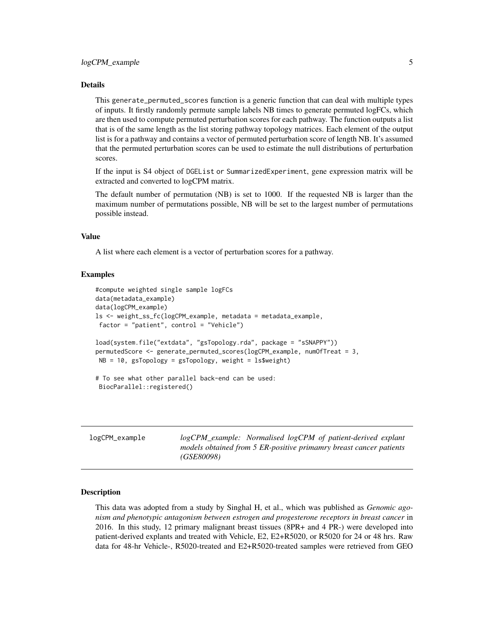#### <span id="page-4-0"></span>Details

This generate\_permuted\_scores function is a generic function that can deal with multiple types of inputs. It firstly randomly permute sample labels NB times to generate permuted logFCs, which are then used to compute permuted perturbation scores for each pathway. The function outputs a list that is of the same length as the list storing pathway topology matrices. Each element of the output list is for a pathway and contains a vector of permuted perturbation score of length NB. It's assumed that the permuted perturbation scores can be used to estimate the null distributions of perturbation scores.

If the input is S4 object of DGEList or SummarizedExperiment, gene expression matrix will be extracted and converted to logCPM matrix.

The default number of permutation (NB) is set to 1000. If the requested NB is larger than the maximum number of permutations possible, NB will be set to the largest number of permutations possible instead.

#### Value

A list where each element is a vector of perturbation scores for a pathway.

#### Examples

```
#compute weighted single sample logFCs
data(metadata_example)
data(logCPM_example)
ls <- weight_ss_fc(logCPM_example, metadata = metadata_example,
factor = "patient", control = "Vehicle")
load(system.file("extdata", "gsTopology.rda", package = "sSNAPPY"))
permutedScore <- generate_permuted_scores(logCPM_example, numOfTreat = 3,
NB = 10, gsTopology = gsTopology, weight = ls$weight)
# To see what other parallel back-end can be used:
BiocParallel::registered()
```

| logCPM_example | logCPM_example: Normalised logCPM of patient-derived explant<br>models obtained from 5 ER-positive primamry breast cancer patients<br><i>(GSE80098)</i> |
|----------------|---------------------------------------------------------------------------------------------------------------------------------------------------------|
|                |                                                                                                                                                         |

#### Description

This data was adopted from a study by Singhal H, et al., which was published as *Genomic agonism and phenotypic antagonism between estrogen and progesterone receptors in breast cancer* in 2016. In this study, 12 primary malignant breast tissues (8PR+ and 4 PR-) were developed into patient-derived explants and treated with Vehicle, E2, E2+R5020, or R5020 for 24 or 48 hrs. Raw data for 48-hr Vehicle-, R5020-treated and E2+R5020-treated samples were retrieved from GEO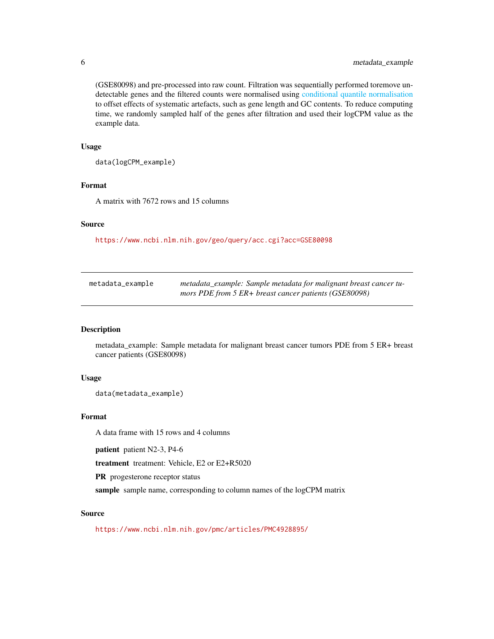(GSE80098) and pre-processed into raw count. Filtration was sequentially performed toremove undetectable genes and the filtered counts were normalised using [conditional quantile normalisation](#page-0-0) to offset effects of systematic artefacts, such as gene length and GC contents. To reduce computing time, we randomly sampled half of the genes after filtration and used their logCPM value as the example data.

#### Usage

data(logCPM\_example)

#### Format

A matrix with 7672 rows and 15 columns

#### Source

<https://www.ncbi.nlm.nih.gov/geo/query/acc.cgi?acc=GSE80098>

| metadata_example | metadata_example: Sample metadata for malignant breast cancer tu- |
|------------------|-------------------------------------------------------------------|
|                  | mors PDE from $5$ ER+ breast cancer patients (GSE80098)           |

#### Description

metadata\_example: Sample metadata for malignant breast cancer tumors PDE from 5 ER+ breast cancer patients (GSE80098)

#### Usage

```
data(metadata_example)
```
#### Format

A data frame with 15 rows and 4 columns

patient patient N2-3, P4-6

treatment treatment: Vehicle, E2 or E2+R5020

PR progesterone receptor status

sample sample name, corresponding to column names of the logCPM matrix

#### Source

<https://www.ncbi.nlm.nih.gov/pmc/articles/PMC4928895/>

<span id="page-5-0"></span>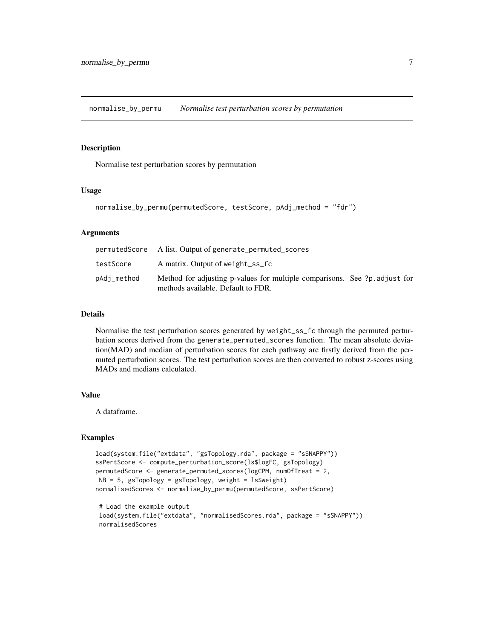<span id="page-6-0"></span>normalise\_by\_permu *Normalise test perturbation scores by permutation*

#### Description

Normalise test perturbation scores by permutation

#### Usage

```
normalise_by_permu(permutedScore, testScore, pAdj_method = "fdr")
```
#### **Arguments**

|             | permutedScore Alist. Output of generate_permuted_scores                                                          |
|-------------|------------------------------------------------------------------------------------------------------------------|
| testScore   | A matrix. Output of weight_ss_fc                                                                                 |
| pAdj_method | Method for adjusting p-values for multiple comparisons. See ?p. adjust for<br>methods available. Default to FDR. |

#### Details

Normalise the test perturbation scores generated by weight\_ss\_fc through the permuted perturbation scores derived from the generate\_permuted\_scores function. The mean absolute deviation(MAD) and median of perturbation scores for each pathway are firstly derived from the permuted perturbation scores. The test perturbation scores are then converted to robust z-scores using MADs and medians calculated.

#### Value

A dataframe.

#### Examples

```
load(system.file("extdata", "gsTopology.rda", package = "sSNAPPY"))
ssPertScore <- compute_perturbation_score(ls$logFC, gsTopology)
permutedScore <- generate_permuted_scores(logCPM, numOfTreat = 2,
NB = 5, gsTopology = gsTopology, weight = ls$weight)
normalisedScores <- normalise_by_permu(permutedScore, ssPertScore)
 # Load the example output
 load(system.file("extdata", "normalisedScores.rda", package = "sSNAPPY"))
 normalisedScores
```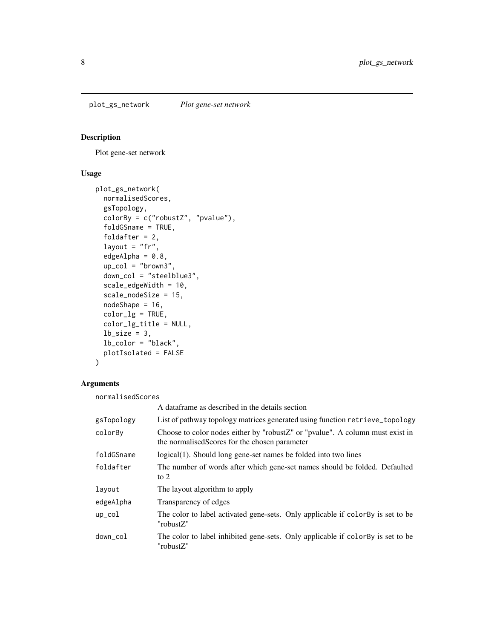<span id="page-7-0"></span>plot\_gs\_network *Plot gene-set network*

### Description

Plot gene-set network

### Usage

```
plot_gs_network(
  normalisedScores,
  gsTopology,
  colorBy = c("robustZ", "pvalue"),
  foldGSname = TRUE,
  foldafter = 2,
  layout = "fr",edgeAlpha = 0.8,
  up\_col = "brown3",down_col = "steelblue3",
  scale_edgeWidth = 10,
  scale_nodeSize = 15,
  nodeShape = 16,
  color_lg = TRUE,
  color_lg_title = NULL,
  lb\_size = 3,
  lb_color = "black",
 plotIsolated = FALSE
)
```
#### Arguments

normalisedScores

|            | A dataframe as described in the details section                                                                                     |
|------------|-------------------------------------------------------------------------------------------------------------------------------------|
| gsTopology | List of pathway topology matrices generated using function retrieve_topology                                                        |
| colorBy    | Choose to color nodes either by "robust $Z''$ or "pvalue". A column must exist in<br>the normalised Scores for the chosen parameter |
| foldGSname | logical(1). Should long gene-set names be folded into two lines                                                                     |
| foldafter  | The number of words after which gene-set names should be folded. Defaulted<br>to $2$                                                |
| layout     | The layout algorithm to apply                                                                                                       |
| edgeAlpha  | Transparency of edges                                                                                                               |
| $up\_col$  | The color to label activated gene-sets. Only applicable if color By is set to be<br>"robustZ"                                       |
| down_col   | The color to label inhibited gene-sets. Only applicable if colorBy is set to be<br>"robustZ"                                        |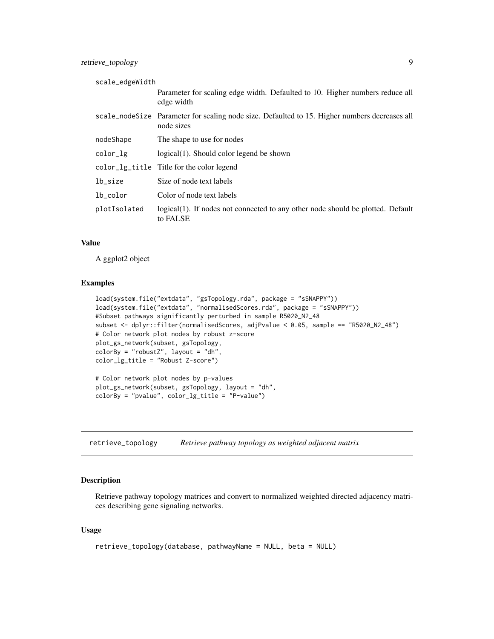<span id="page-8-0"></span>retrieve\_topology 9

| scale_edgeWidth |                                                                                                             |
|-----------------|-------------------------------------------------------------------------------------------------------------|
|                 | Parameter for scaling edge width. Defaulted to 10. Higher numbers reduce all<br>edge width                  |
|                 | scale_nodeSize Parameter for scaling node size. Defaulted to 15. Higher numbers decreases all<br>node sizes |
| nodeShape       | The shape to use for nodes                                                                                  |
| color_lg        | logical(1). Should color legend be shown                                                                    |
|                 | color_lg_title Title for the color legend                                                                   |
| lb_size         | Size of node text labels                                                                                    |
| lb_color        | Color of node text labels                                                                                   |
| plotIsolated    | logical(1). If nodes not connected to any other node should be plotted. Default<br>to FALSE                 |

#### Value

A ggplot2 object

#### Examples

```
load(system.file("extdata", "gsTopology.rda", package = "sSNAPPY"))
load(system.file("extdata", "normalisedScores.rda", package = "sSNAPPY"))
#Subset pathways significantly perturbed in sample R5020_N2_48
subset <- dplyr::filter(normalisedScores, adjPvalue < 0.05, sample == "R5020_N2_48")
# Color network plot nodes by robust z-score
plot_gs_network(subset, gsTopology,
colorBy = "robustZ", layout = "dh",
color_lg_title = "Robust Z-score")
# Color network plot nodes by p-values
```
plot\_gs\_network(subset, gsTopology, layout = "dh", colorBy = "pvalue", color\_lg\_title = "P-value")

retrieve\_topology *Retrieve pathway topology as weighted adjacent matrix*

### Description

Retrieve pathway topology matrices and convert to normalized weighted directed adjacency matrices describing gene signaling networks.

#### Usage

```
retrieve_topology(database, pathwayName = NULL, beta = NULL)
```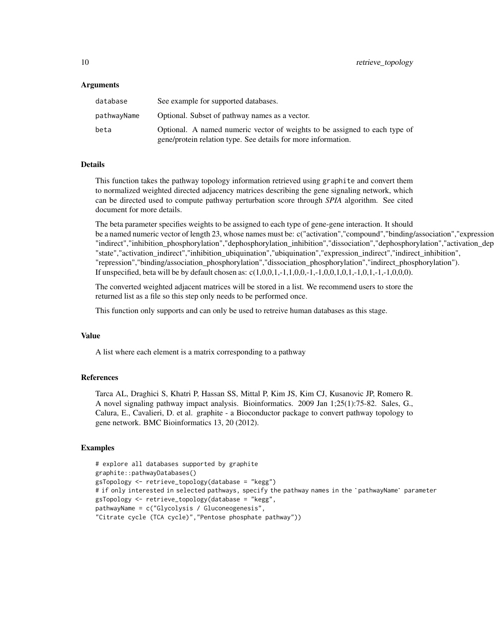#### Arguments

| database    | See example for supported databases.                                                                                                        |
|-------------|---------------------------------------------------------------------------------------------------------------------------------------------|
| pathwayName | Optional. Subset of pathway names as a vector.                                                                                              |
| beta        | Optional. A named numeric vector of weights to be assigned to each type of<br>gene/protein relation type. See details for more information. |

### Details

This function takes the pathway topology information retrieved using graphite and convert them to normalized weighted directed adjacency matrices describing the gene signaling network, which can be directed used to compute pathway perturbation score through *SPIA* algorithm. See cited document for more details.

The beta parameter specifies weights to be assigned to each type of gene-gene interaction. It should be a named numeric vector of length 23, whose names must be: c("activation","compound","binding/association","expression "indirect","inhibition\_phosphorylation","dephosphorylation\_inhibition","dissociation","dephosphorylation","activation\_dep "state","activation\_indirect","inhibition\_ubiquination","ubiquination","expression\_indirect","indirect\_inhibition", "repression","binding/association\_phosphorylation","dissociation\_phosphorylation","indirect\_phosphorylation"). If unspecified, beta will be by default chosen as:  $c(1,0,0,1,-1,1,0,0,-1,-1,0,0,1,0,1,-1,0,1,-1,-1,0,0,0)$ .

The converted weighted adjacent matrices will be stored in a list. We recommend users to store the returned list as a file so this step only needs to be performed once.

This function only supports and can only be used to retreive human databases as this stage.

#### Value

A list where each element is a matrix corresponding to a pathway

#### References

Tarca AL, Draghici S, Khatri P, Hassan SS, Mittal P, Kim JS, Kim CJ, Kusanovic JP, Romero R. A novel signaling pathway impact analysis. Bioinformatics. 2009 Jan 1;25(1):75-82. Sales, G., Calura, E., Cavalieri, D. et al. graphite - a Bioconductor package to convert pathway topology to gene network. BMC Bioinformatics 13, 20 (2012).

#### Examples

```
# explore all databases supported by graphite
graphite::pathwayDatabases()
gsTopology <- retrieve_topology(database = "kegg")
# if only interested in selected pathways, specify the pathway names in the `pathwayName` parameter
gsTopology <- retrieve_topology(database = "kegg",
pathwayName = c("Glycolysis / Gluconeogenesis",
"Citrate cycle (TCA cycle)","Pentose phosphate pathway"))
```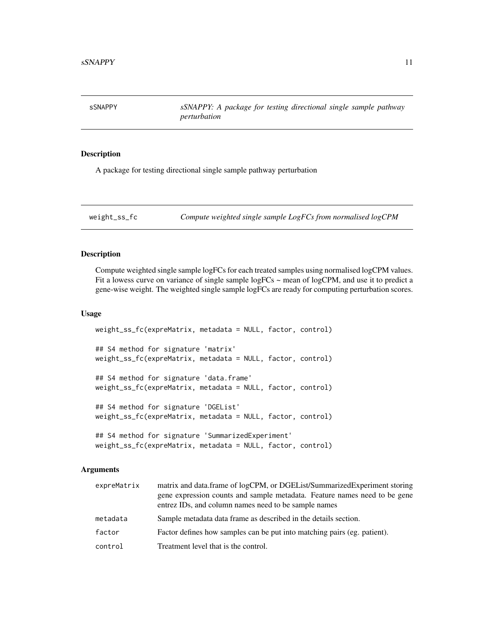<span id="page-10-0"></span>sSNAPPY *sSNAPPY: A package for testing directional single sample pathway perturbation*

#### Description

A package for testing directional single sample pathway perturbation

weight\_ss\_fc *Compute weighted single sample LogFCs from normalised logCPM*

### Description

Compute weighted single sample logFCs for each treated samples using normalised logCPM values. Fit a lowess curve on variance of single sample logFCs  $\sim$  mean of logCPM, and use it to predict a gene-wise weight. The weighted single sample logFCs are ready for computing perturbation scores.

#### Usage

```
weight_ss_fc(expreMatrix, metadata = NULL, factor, control)
## S4 method for signature 'matrix'
weight_ss_fc(expreMatrix, metadata = NULL, factor, control)
## S4 method for signature 'data.frame'
weight_ss_fc(expreMatrix, metadata = NULL, factor, control)
## S4 method for signature 'DGEList'
weight_ss_fc(expreMatrix, metadata = NULL, factor, control)
## S4 method for signature 'SummarizedExperiment'
weight_ss_fc(expreMatrix, metadata = NULL, factor, control)
```
#### Arguments

| expreMatrix | matrix and data.frame of logCPM, or DGEList/SummarizedExperiment storing<br>gene expression counts and sample metadata. Feature names need to be gene<br>entrez IDs, and column names need to be sample names |
|-------------|---------------------------------------------------------------------------------------------------------------------------------------------------------------------------------------------------------------|
| metadata    | Sample metadata data frame as described in the details section.                                                                                                                                               |
| factor      | Factor defines how samples can be put into matching pairs (eg. patient).                                                                                                                                      |
| control     | Treatment level that is the control.                                                                                                                                                                          |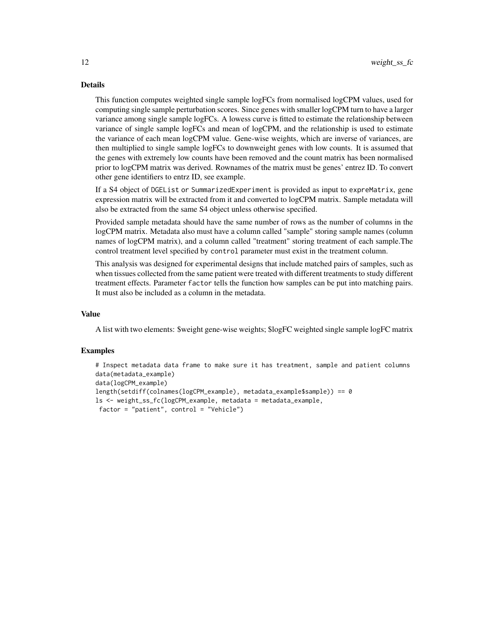#### Details

This function computes weighted single sample logFCs from normalised logCPM values, used for computing single sample perturbation scores. Since genes with smaller logCPM turn to have a larger variance among single sample logFCs. A lowess curve is fitted to estimate the relationship between variance of single sample logFCs and mean of logCPM, and the relationship is used to estimate the variance of each mean logCPM value. Gene-wise weights, which are inverse of variances, are then multiplied to single sample logFCs to downweight genes with low counts. It is assumed that the genes with extremely low counts have been removed and the count matrix has been normalised prior to logCPM matrix was derived. Rownames of the matrix must be genes' entrez ID. To convert other gene identifiers to entrz ID, see example.

If a S4 object of DGEList or SummarizedExperiment is provided as input to expreMatrix, gene expression matrix will be extracted from it and converted to logCPM matrix. Sample metadata will also be extracted from the same S4 object unless otherwise specified.

Provided sample metadata should have the same number of rows as the number of columns in the logCPM matrix. Metadata also must have a column called "sample" storing sample names (column names of logCPM matrix), and a column called "treatment" storing treatment of each sample.The control treatment level specified by control parameter must exist in the treatment column.

This analysis was designed for experimental designs that include matched pairs of samples, such as when tissues collected from the same patient were treated with different treatments to study different treatment effects. Parameter factor tells the function how samples can be put into matching pairs. It must also be included as a column in the metadata.

#### Value

A list with two elements: \$weight gene-wise weights; \$logFC weighted single sample logFC matrix

#### Examples

```
# Inspect metadata data frame to make sure it has treatment, sample and patient columns
data(metadata_example)
data(logCPM_example)
length(setdiff(colnames(logCPM_example), metadata_example$sample)) == 0
ls <- weight_ss_fc(logCPM_example, metadata = metadata_example,
 factor = "patient", control = "Vehicle")
```